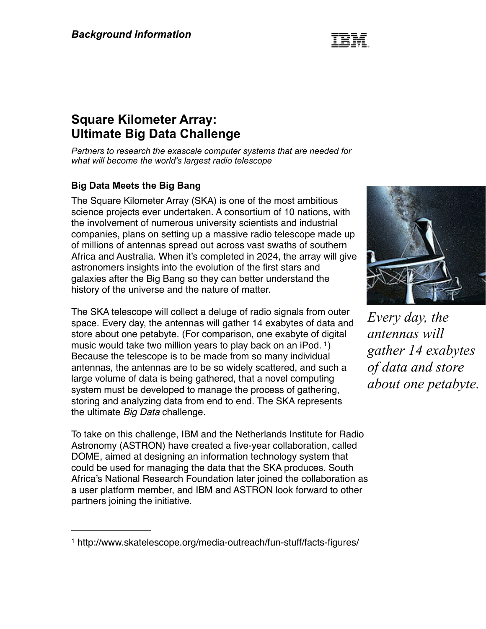# **Square Kilometer Array: Ultimate Big Data Challenge**

*Partners to research the exascale computer systems that are needed for what will become the world's largest radio telescope*

## **Big Data Meets the Big Bang**

The Square Kilometer Array (SKA) is one of the most ambitious science projects ever undertaken. A consortium of 10 nations, with the involvement of numerous university scientists and industrial companies, plans on setting up a massive radio telescope made up of millions of antennas spread out across vast swaths of southern Africa and Australia. When it's completed in 2024, the array will give astronomers insights into the evolution of the first stars and galaxies after the Big Bang so they can better understand the history of the universe and the nature of matter.

The SKA telescope will collect a deluge of radio signals from outer space. Every day, the antennas will gather 14 exabytes of data and store about one petabyte. (For comparison, one exabyte of digital music would take two million years to play back on an iPod. [1](#page-0-0)) Because the telescope is to be made from so many individual antennas, the antennas are to be so widely scattered, and such a large volume of data is being gathered, that a novel computing system must be developed to manage the process of gathering, storing and analyzing data from end to end. The SKA represents the ultimate *Big Data* challenge.

To take on this challenge, IBM and the Netherlands Institute for Radio Astronomy (ASTRON) have created a five-year collaboration, called DOME, aimed at designing an information technology system that could be used for managing the data that the SKA produces. South Africa's National Research Foundation later joined the collaboration as a user platform member, and IBM and ASTRON look forward to other partners joining the initiative.

<span id="page-0-0"></span>



*Every day, the antennas will gather 14 exabytes of data and store about one petabyte.*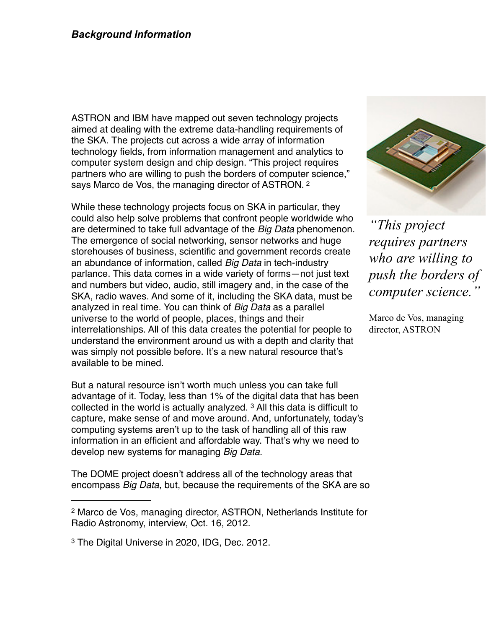ASTRON and IBM have mapped out seven technology projects aimed at dealing with the extreme data-handling requirements of the SKA. The projects cut across a wide array of information technology fields, from information management and analytics to computer system design and chip design. "This project requires partners who are willing to push the borders of computer science," says Marco de Vos, the managing director of ASTRON.<sup>[2](#page-1-0)</sup>

While these technology projects focus on SKA in particular, they could also help solve problems that confront people worldwide who are determined to take full advantage of the *Big Data* phenomenon. The emergence of social networking, sensor networks and huge storehouses of business, scientific and government records create an abundance of information, called *Big Data* in tech-industry parlance. This data comes in a wide variety of forms—not just text and numbers but video, audio, still imagery and, in the case of the SKA, radio waves. And some of it, including the SKA data, must be analyzed in real time. You can think of *Big Data* as a parallel universe to the world of people, places, things and their interrelationships. All of this data creates the potential for people to understand the environment around us with a depth and clarity that was simply not possible before. It's a new natural resource that's available to be mined.

But a natural resource isn't worth much unless you can take full advantage of it. Today, less than 1% of the digital data that has been collected in the world is actually analyzed.  $3$  All this data is difficult to capture, make sense of and move around. And, unfortunately, today's computing systems aren't up to the task of handling all of this raw information in an efficient and affordable way. That's why we need to develop new systems for managing *Big Data.*

The DOME project doesn't address all of the technology areas that encompass *Big Data*, but, because the requirements of the SKA are so



*"This project requires partners who are willing to push the borders of computer science."*

Marco de Vos, managing director, ASTRON

<span id="page-1-0"></span><sup>2</sup> Marco de Vos, managing director, ASTRON, Netherlands Institute for Radio Astronomy, interview, Oct. 16, 2012.

<span id="page-1-1"></span><sup>3</sup> The Digital Universe in 2020, IDG, Dec. 2012.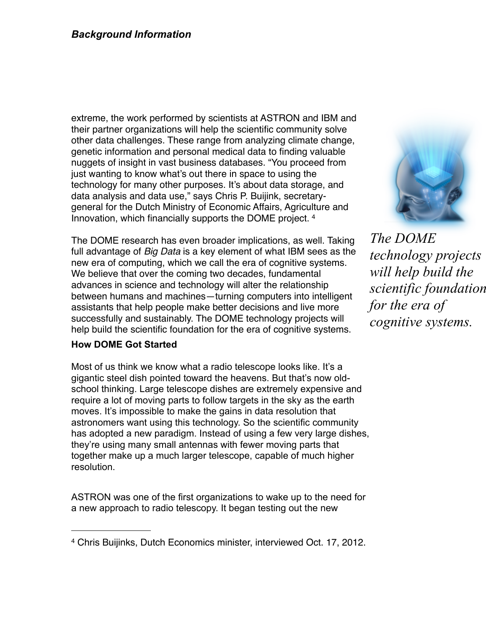extreme, the work performed by scientists at ASTRON and IBM and their partner organizations will help the scientific community solve other data challenges. These range from analyzing climate change, genetic information and personal medical data to finding valuable nuggets of insight in vast business databases. "You proceed from just wanting to know what's out there in space to using the technology for many other purposes. It's about data storage, and data analysis and data use," says Chris P. Buijink, secretarygeneral for the Dutch Ministry of Economic Affairs, Agriculture and Innovation, which financially supports the DOME project. [4](#page-2-0)

The DOME research has even broader implications, as well. Taking full advantage of *Big Data* is a key element of what IBM sees as the new era of computing, which we call the era of cognitive systems. We believe that over the coming two decades, fundamental advances in science and technology will alter the relationship between humans and machines—turning computers into intelligent assistants that help people make better decisions and live more successfully and sustainably. The DOME technology projects will help build the scientific foundation for the era of cognitive systems.

#### **How DOME Got Started**

Most of us think we know what a radio telescope looks like. It's a gigantic steel dish pointed toward the heavens. But that's now oldschool thinking. Large telescope dishes are extremely expensive and require a lot of moving parts to follow targets in the sky as the earth moves. It's impossible to make the gains in data resolution that astronomers want using this technology. So the scientific community has adopted a new paradigm. Instead of using a few very large dishes, they're using many small antennas with fewer moving parts that together make up a much larger telescope, capable of much higher resolution.

ASTRON was one of the first organizations to wake up to the need for a new approach to radio telescopy. It began testing out the new



*The DOME technology projects will help build the scientific foundation for the era of cognitive systems.*

<span id="page-2-0"></span><sup>4</sup> Chris Buijinks, Dutch Economics minister, interviewed Oct. 17, 2012.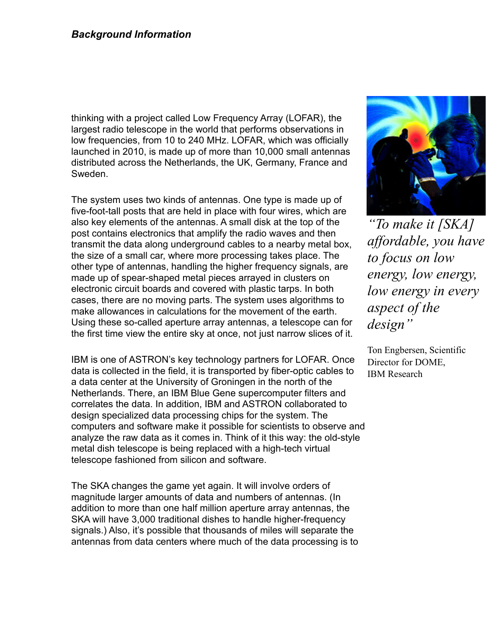thinking with a project called Low Frequency Array (LOFAR), the largest radio telescope in the world that performs observations in low frequencies, from 10 to 240 MHz. LOFAR, which was officially launched in 2010, is made up of more than 10,000 small antennas distributed across the Netherlands, the UK, Germany, France and Sweden.

The system uses two kinds of antennas. One type is made up of five-foot-tall posts that are held in place with four wires, which are also key elements of the antennas. A small disk at the top of the post contains electronics that amplify the radio waves and then transmit the data along underground cables to a nearby metal box, the size of a small car, where more processing takes place. The other type of antennas, handling the higher frequency signals, are made up of spear-shaped metal pieces arrayed in clusters on electronic circuit boards and covered with plastic tarps. In both cases, there are no moving parts. The system uses algorithms to make allowances in calculations for the movement of the earth. Using these so-called aperture array antennas, a telescope can for the first time view the entire sky at once, not just narrow slices of it.

IBM is one of ASTRON's key technology partners for LOFAR. Once data is collected in the field, it is transported by fiber-optic cables to a data center at the University of Groningen in the north of the Netherlands. There, an IBM Blue Gene supercomputer filters and correlates the data. In addition, IBM and ASTRON collaborated to design specialized data processing chips for the system. The computers and software make it possible for scientists to observe and analyze the raw data as it comes in. Think of it this way: the old-style metal dish telescope is being replaced with a high-tech virtual telescope fashioned from silicon and software.

The SKA changes the game yet again. It will involve orders of magnitude larger amounts of data and numbers of antennas. (In addition to more than one half million aperture array antennas, the SKA will have 3,000 traditional dishes to handle higher-frequency signals.) Also, it's possible that thousands of miles will separate the antennas from data centers where much of the data processing is to



*"To make it [SKA] affordable, you have to focus on low energy, low energy, low energy in every aspect of the design"*

Ton Engbersen, Scientific Director for DOME, IBM Research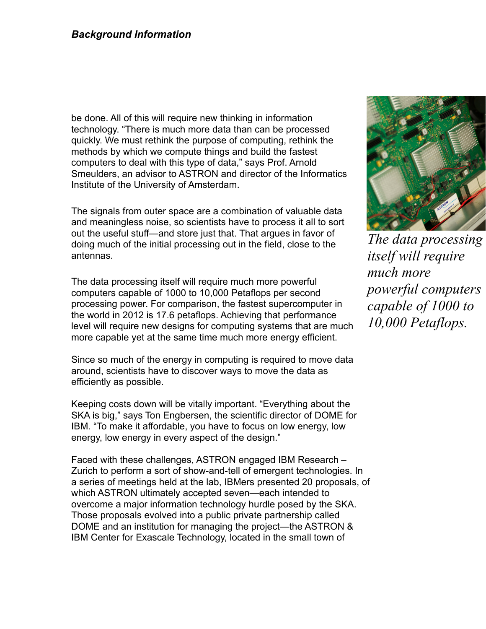be done. All of this will require new thinking in information technology. "There is much more data than can be processed quickly. We must rethink the purpose of computing, rethink the methods by which we compute things and build the fastest computers to deal with this type of data," says Prof. Arnold Smeulders, an advisor to ASTRON and director of the Informatics Institute of the University of Amsterdam.

The signals from outer space are a combination of valuable data and meaningless noise, so scientists have to process it all to sort out the useful stuff—and store just that. That argues in favor of doing much of the initial processing out in the field, close to the antennas.

The data processing itself will require much more powerful computers capable of 1000 to 10,000 Petaflops per second processing power. For comparison, the fastest supercomputer in the world in 2012 is 17.6 petaflops. Achieving that performance level will require new designs for computing systems that are much more capable yet at the same time much more energy efficient.

Since so much of the energy in computing is required to move data around, scientists have to discover ways to move the data as efficiently as possible.

Keeping costs down will be vitally important. "Everything about the SKA is big," says Ton Engbersen, the scientific director of DOME for IBM. "To make it affordable, you have to focus on low energy, low energy, low energy in every aspect of the design."

Faced with these challenges, ASTRON engaged IBM Research – Zurich to perform a sort of show-and-tell of emergent technologies. In a series of meetings held at the lab, IBMers presented 20 proposals, of which ASTRON ultimately accepted seven—each intended to overcome a major information technology hurdle posed by the SKA. Those proposals evolved into a public private partnership called DOME and an institution for managing the project—the ASTRON & IBM Center for Exascale Technology, located in the small town of



*The data processing itself will require much more powerful computers capable of 1000 to 10,000 Petaflops.*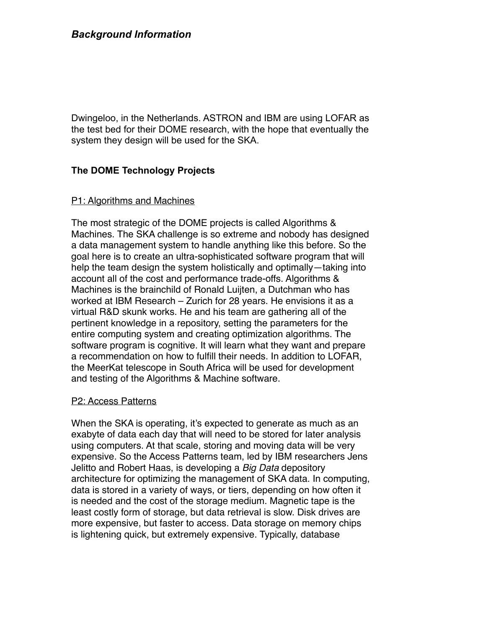Dwingeloo, in the Netherlands. ASTRON and IBM are using LOFAR as the test bed for their DOME research, with the hope that eventually the system they design will be used for the SKA.

## **The DOME Technology Projects**

#### P1: Algorithms and Machines

The most strategic of the DOME projects is called Algorithms & Machines. The SKA challenge is so extreme and nobody has designed a data management system to handle anything like this before. So the goal here is to create an ultra-sophisticated software program that will help the team design the system holistically and optimally—taking into account all of the cost and performance trade-offs. Algorithms & Machines is the brainchild of Ronald Luijten, a Dutchman who has worked at IBM Research – Zurich for 28 years. He envisions it as a virtual R&D skunk works. He and his team are gathering all of the pertinent knowledge in a repository, setting the parameters for the entire computing system and creating optimization algorithms. The software program is cognitive. It will learn what they want and prepare a recommendation on how to fulfill their needs. In addition to LOFAR, the MeerKat telescope in South Africa will be used for development and testing of the Algorithms & Machine software.

#### P2: Access Patterns

When the SKA is operating, it's expected to generate as much as an exabyte of data each day that will need to be stored for later analysis using computers. At that scale, storing and moving data will be very expensive. So the Access Patterns team, led by IBM researchers Jens Jelitto and Robert Haas, is developing a *Big Data* depository architecture for optimizing the management of SKA data. In computing, data is stored in a variety of ways, or tiers, depending on how often it is needed and the cost of the storage medium. Magnetic tape is the least costly form of storage, but data retrieval is slow. Disk drives are more expensive, but faster to access. Data storage on memory chips is lightening quick, but extremely expensive. Typically, database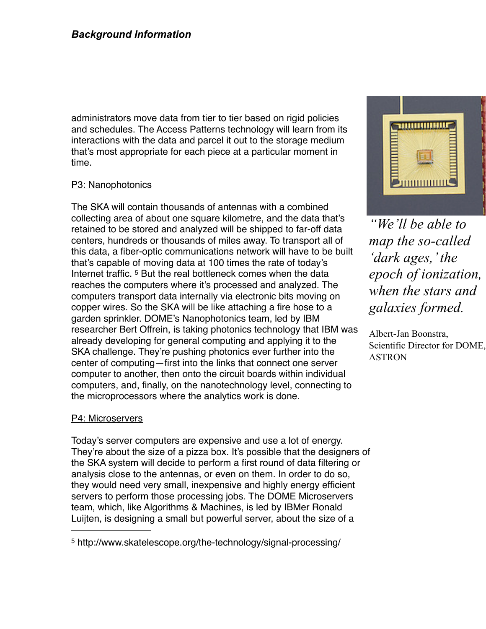administrators move data from tier to tier based on rigid policies and schedules. The Access Patterns technology will learn from its interactions with the data and parcel it out to the storage medium that's most appropriate for each piece at a particular moment in time.

#### P3: Nanophotonics

The SKA will contain thousands of antennas with a combined collecting area of about one square kilometre, and the data that's retained to be stored and analyzed will be shipped to far-off data centers, hundreds or thousands of miles away. To transport all of this data, a fiber-optic communications network will have to be built that's capable of moving data at 100 times the rate of today's Internet traffic. [5](#page-6-0) But the real bottleneck comes when the data reaches the computers where it's processed and analyzed. The computers transport data internally via electronic bits moving on copper wires. So the SKA will be like attaching a fire hose to a garden sprinkler. DOME's Nanophotonics team, led by IBM researcher Bert Offrein, is taking photonics technology that IBM was already developing for general computing and applying it to the SKA challenge. They're pushing photonics ever further into the center of computing—first into the links that connect one server computer to another, then onto the circuit boards within individual computers, and, finally, on the nanotechnology level, connecting to the microprocessors where the analytics work is done.

#### P4: Microservers

Today's server computers are expensive and use a lot of energy. They're about the size of a pizza box. It's possible that the designers of the SKA system will decide to perform a first round of data filtering or analysis close to the antennas, or even on them. In order to do so, they would need very small, inexpensive and highly energy efficient servers to perform those processing jobs. The DOME Microservers team, which, like Algorithms & Machines, is led by IBMer Ronald Luijten, is designing a small but powerful server, about the size of a



*"We'll be able to map the so-called 'dark ages,' the epoch of ionization, when the stars and galaxies formed.*

Albert-Jan Boonstra, Scientific Director for DOME, ASTRON

<span id="page-6-0"></span><sup>5</sup> http://www.skatelescope.org/the-technology/signal-processing/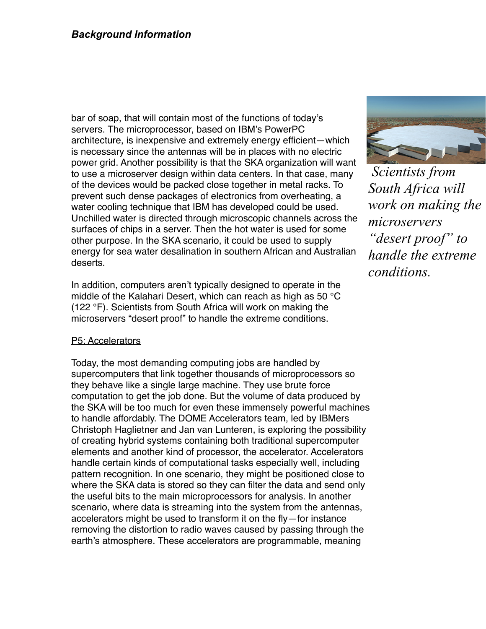bar of soap, that will contain most of the functions of today's servers. The microprocessor, based on IBM's PowerPC architecture, is inexpensive and extremely energy efficient—which is necessary since the antennas will be in places with no electric power grid. Another possibility is that the SKA organization will want to use a microserver design within data centers. In that case, many of the devices would be packed close together in metal racks. To prevent such dense packages of electronics from overheating, a water cooling technique that IBM has developed could be used. Unchilled water is directed through microscopic channels across the surfaces of chips in a server. Then the hot water is used for some other purpose. In the SKA scenario, it could be used to supply energy for sea water desalination in southern African and Australian deserts.

In addition, computers aren't typically designed to operate in the middle of the Kalahari Desert, which can reach as high as 50 °C (122 °F). Scientists from South Africa will work on making the microservers "desert proof" to handle the extreme conditions.

#### P5: Accelerators

Today, the most demanding computing jobs are handled by supercomputers that link together thousands of microprocessors so they behave like a single large machine. They use brute force computation to get the job done. But the volume of data produced by the SKA will be too much for even these immensely powerful machines to handle affordably. The DOME Accelerators team, led by IBMers Christoph Haglietner and Jan van Lunteren, is exploring the possibility of creating hybrid systems containing both traditional supercomputer elements and another kind of processor, the accelerator. Accelerators handle certain kinds of computational tasks especially well, including pattern recognition. In one scenario, they might be positioned close to where the SKA data is stored so they can filter the data and send only the useful bits to the main microprocessors for analysis. In another scenario, where data is streaming into the system from the antennas, accelerators might be used to transform it on the fly—for instance removing the distortion to radio waves caused by passing through the earth's atmosphere. These accelerators are programmable, meaning



 *Scientists from South Africa will work on making the microservers "desert proof" to handle the extreme conditions.*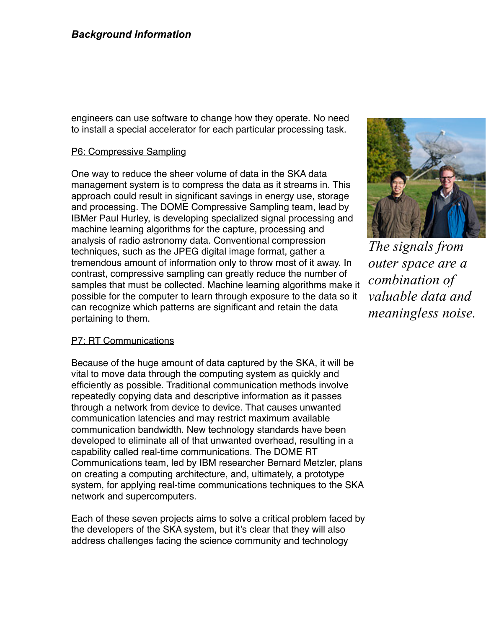engineers can use software to change how they operate. No need to install a special accelerator for each particular processing task.

#### P6: Compressive Sampling

One way to reduce the sheer volume of data in the SKA data management system is to compress the data as it streams in. This approach could result in significant savings in energy use, storage and processing. The DOME Compressive Sampling team, lead by IBMer Paul Hurley, is developing specialized signal processing and machine learning algorithms for the capture, processing and analysis of radio astronomy data. Conventional compression techniques, such as the JPEG digital image format, gather a tremendous amount of information only to throw most of it away. In contrast, compressive sampling can greatly reduce the number of samples that must be collected. Machine learning algorithms make it possible for the computer to learn through exposure to the data so it can recognize which patterns are significant and retain the data pertaining to them.

#### P7: RT Communications

Because of the huge amount of data captured by the SKA, it will be vital to move data through the computing system as quickly and efficiently as possible. Traditional communication methods involve repeatedly copying data and descriptive information as it passes through a network from device to device. That causes unwanted communication latencies and may restrict maximum available communication bandwidth. New technology standards have been developed to eliminate all of that unwanted overhead, resulting in a capability called real-time communications. The DOME RT Communications team, led by IBM researcher Bernard Metzler, plans on creating a computing architecture, and, ultimately, a prototype system, for applying real-time communications techniques to the SKA network and supercomputers.

Each of these seven projects aims to solve a critical problem faced by the developers of the SKA system, but it's clear that they will also address challenges facing the science community and technology



*The signals from outer space are a combination of valuable data and meaningless noise.*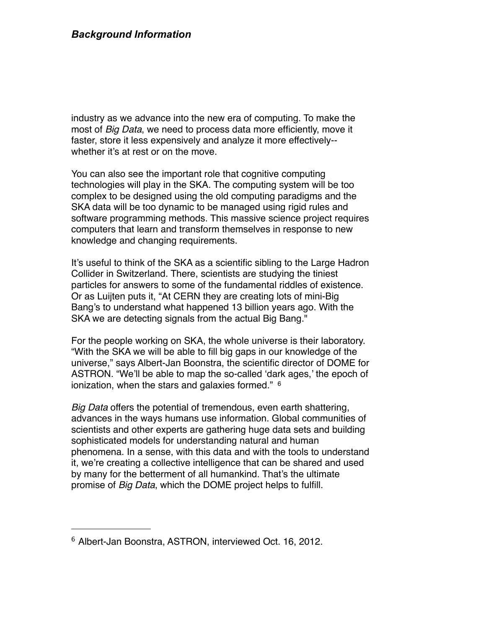industry as we advance into the new era of computing. To make the most of *Big Data*, we need to process data more efficiently, move it faster, store it less expensively and analyze it more effectively- whether it's at rest or on the move.

You can also see the important role that cognitive computing technologies will play in the SKA. The computing system will be too complex to be designed using the old computing paradigms and the SKA data will be too dynamic to be managed using rigid rules and software programming methods. This massive science project requires computers that learn and transform themselves in response to new knowledge and changing requirements.

It's useful to think of the SKA as a scientific sibling to the Large Hadron Collider in Switzerland. There, scientists are studying the tiniest particles for answers to some of the fundamental riddles of existence. Or as Luijten puts it, "At CERN they are creating lots of mini-Big Bang's to understand what happened 13 billion years ago. With the SKA we are detecting signals from the actual Big Bang."

For the people working on SKA, the whole universe is their laboratory. "With the SKA we will be able to fill big gaps in our knowledge of the universe," says Albert-Jan Boonstra, the scientific director of DOME for ASTRON. "We'll be able to map the so-called 'dark ages,' the epoch of ionization, when the stars and galaxies formed." [6](#page-9-0)

*Big Data* offers the potential of tremendous, even earth shattering, advances in the ways humans use information. Global communities of scientists and other experts are gathering huge data sets and building sophisticated models for understanding natural and human phenomena. In a sense, with this data and with the tools to understand it, we're creating a collective intelligence that can be shared and used by many for the betterment of all humankind. That's the ultimate promise of *Big Data*, which the DOME project helps to fulfill.

<span id="page-9-0"></span><sup>6</sup> Albert-Jan Boonstra, ASTRON, interviewed Oct. 16, 2012.